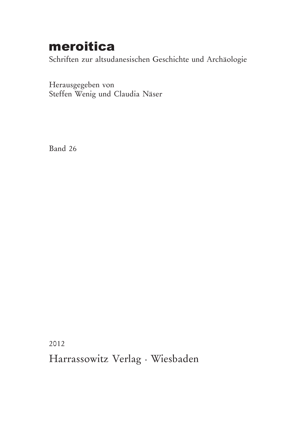## meroitica

Schriften zur altsudanesischen Geschichte und Archäologie

Herausgegeben von Steffen Wenig und Claudia Näser

Band 26

2012

Harrassowitz Verlag · Wiesbaden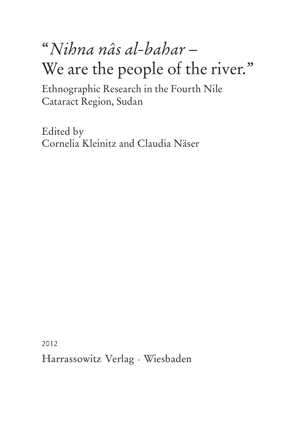# "*Nihna nâs al-bahar* – We are the people of the river."

Ethnographic Research in the Fourth Nile Cataract Region, Sudan

Edited by Cornelia Kleinitz and Claudia Näser

2012

Harrassowitz Verlag · Wiesbaden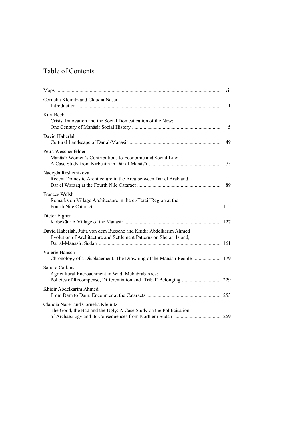### Table of Contents

|                                                                                                                                           | V <sub>1</sub> |
|-------------------------------------------------------------------------------------------------------------------------------------------|----------------|
| Cornelia Kleinitz and Claudia Näser                                                                                                       | $\overline{1}$ |
| Kurt Beck<br>Crisis, Innovation and the Social Domestication of the New:                                                                  | 5              |
| David Haberlah                                                                                                                            | 49             |
| Petra Weschenfelder<br>Manâsîr Women's Contributions to Economic and Social Life:                                                         | 75             |
| Nadejda Reshetnikova<br>Recent Domestic Architecture in the Area between Dar el Arab and                                                  | 89             |
| <b>Frances Welsh</b><br>Remarks on Village Architecture in the et-Tereif Region at the                                                    |                |
| Dieter Eigner                                                                                                                             |                |
| David Haberlah, Jutta von dem Bussche and Khidir Abdelkarim Ahmed<br>Evolution of Architecture and Settlement Patterns on Sherari Island, |                |
| Valerie Hänsch                                                                                                                            |                |
| Sandra Calkins<br>Agricultural Encroachment in Wadi Mukabrab Area:                                                                        |                |
| Khidir Abdelkarim Ahmed                                                                                                                   |                |
| Claudia Näser and Cornelia Kleinitz<br>The Good, the Bad and the Ugly: A Case Study on the Politicisation                                 |                |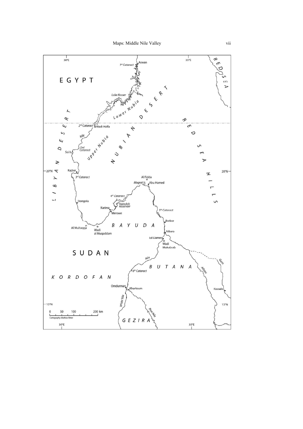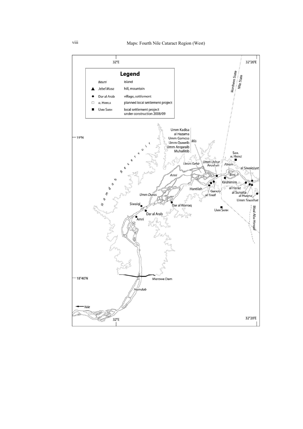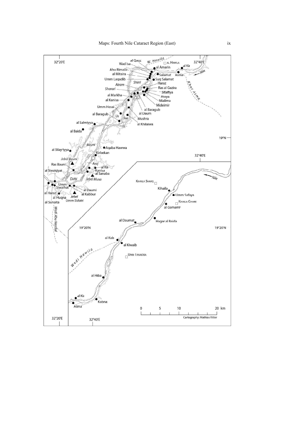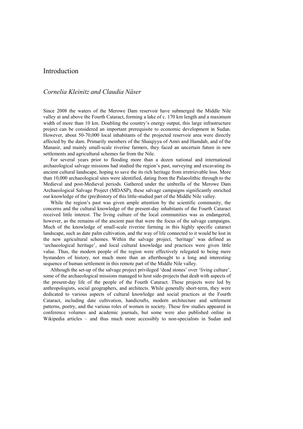#### Introduction

#### *Cornelia Kleinitz and Claudia Näser*

Since 2008 the waters of the Merowe Dam reservoir have submerged the Middle Nile valley at and above the Fourth Cataract, forming a lake of c. 170 km length and a maximum width of more than 10 km. Doubling the country's energy output, this large infrastructure project can be considered an important prerequisite to economic development in Sudan. However, about 50-70,000 local inhabitants of the projected reservoir area were directly affected by the dam. Primarily members of the Shaiqiyya of Amri and Hamdab, and of the Manasir, and mainly small-scale riverine farmers, they faced an uncertain future in new settlements and agricultural schemes far from the Nile.

For several years prior to flooding more than a dozen national and international archaeological salvage missions had studied the region's past, surveying and excavating its ancient cultural landscape, hoping to save the its rich heritage from irretrievable loss. More than 10,000 archaeological sites were identified, dating from the Palaeolithic through to the Medieval and post-Medieval periods. Gathered under the umbrella of the Merowe Dam Archaeological Salvage Project (MDASP), these salvage campaigns significantly enriched our knowledge of the (pre)history of this little-studied part of the Middle Nile valley.

While the region's past was given ample attention by the scientific community, the concerns and the cultural knowledge of the present-day inhabitants of the Fourth Cataract received little interest. The living culture of the local communities was as endangered, however, as the remains of the ancient past that were the focus of the salvage campaigns. Much of the knowledge of small-scale riverine farming in this highly specific cataract landscape, such as date palm cultivation, and the way of life connected to it would be lost in the new agricultural schemes. Within the salvage project, 'heritage' was defined as 'archaeological heritage', and local cultural knowledge and practices were given little value. Thus, the modern people of the region were effectively relegated to being mere bystanders of history, not much more than an afterthought to a long and interesting sequence of human settlement in this remote part of the Middle Nile valley.

Although the set-up of the salvage project privileged 'dead stones' over 'living culture', some of the archaeological missions managed to host side-projects that dealt with aspects of the present-day life of the people of the Fourth Cataract. These projects were led by anthropologists, social geographers, and architects. While generally short-term, they were dedicated to various aspects of cultural knowledge and social practices at the Fourth Cataract, including date cultivation, handicrafts, modern architecture and settlement patterns, poetry, and the various roles of women in society. These few studies appeared in conference volumes and academic journals, but some were also published online in Wikipedia articles – and thus much more accessibly to non-specialists in Sudan and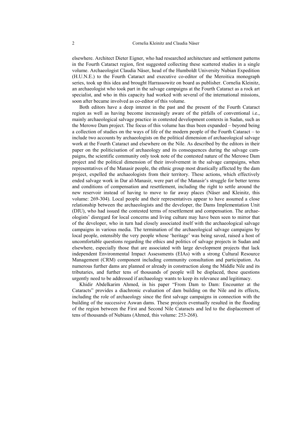elsewhere. Architect Dieter Eigner, who had researched architecture and settlement patterns in the Fourth Cataract region, first suggested collecting these scattered studies in a single volume. Archaeologist Claudia Näser, head of the Humboldt University Nubian Expedition (H.U.N.E.) to the Fourth Cataract and executive co-editor of the Meroitica monograph series, took up this idea and brought Harrassowitz on board as publisher. Cornelia Kleinitz, an archaeologist who took part in the salvage campaigns at the Fourth Cataract as a rock art specialist, and who in this capacity had worked with several of the international missions, soon after became involved as co-editor of this volume.

Both editors have a deep interest in the past and the present of the Fourth Cataract region as well as having become increasingly aware of the pitfalls of conventional i.e., mainly archaeological salvage practice in contested development contexts in Sudan, such as the Merowe Dam project. The focus of this volume has thus been expanded – beyond being a collection of studies on the ways of life of the modern people of the Fourth Cataract – to include two accounts by archaeologists on the political dimension of archaeological salvage work at the Fourth Cataract and elsewhere on the Nile. As described by the editors in their paper on the politicisation of archaeology and its consequences during the salvage campaigns, the scientific community only took note of the contested nature of the Merowe Dam project and the political dimension of their involvement in the salvage campaigns, when representatives of the Manasir people, the ethnic group most drastically affected by the dam project, expelled the archaeologists from their territory. These actions, which effectively ended salvage work in Dar al-Manasir, were part of the Manasir's struggle for better terms and conditions of compensation and resettlement, including the right to settle around the new reservoir instead of having to move to far away places (Näser and Kleinitz, this volume: 269-304). Local people and their representatives appear to have assumed a close relationship between the archaeologists and the developer, the Dams Implementation Unit (DIU), who had issued the contested terms of resettlement and compensation. The archaeologists' disregard for local concerns and living culture may have been seen to mirror that of the developer, who in turn had closely associated itself with the archaeological salvage campaigns in various media. The termination of the archaeological salvage campaigns by local people, ostensibly the very people whose 'heritage' was being saved, raised a host of uncomfortable questions regarding the ethics and politics of salvage projects in Sudan and elsewhere, especially those that are associated with large development projects that lack independent Environmental Impact Assessments (EIAs) with a strong Cultural Resource Management (CRM) component including community consultation and participation. As numerous further dams are planned or already in construction along the Middle Nile and its tributaries, and further tens of thousands of people will be displaced, these questions urgently need to be addressed if archaeology wants to keep its relevance and legitimacy.

 Khidir Abdelkarim Ahmed, in his paper "From Dam to Dam: Encounter at the Cataracts" provides a diachronic evaluation of dam building on the Nile and its effects, including the role of archaeology since the first salvage campaigns in connection with the building of the successive Aswan dams. These projects eventually resulted in the flooding of the region between the First and Second Nile Cataracts and led to the displacement of tens of thousands of Nubians (Ahmed, this volume: 253-268).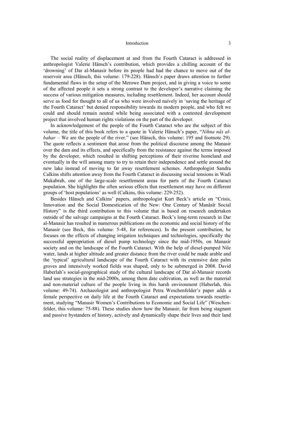#### Introduction 3

The social reality of displacement at and from the Fourth Cataract is addressed in anthropologist Valerie Hänsch's contribution, which provides a chilling account of the 'drowning' of Dar al-Manasir before its people had had the chance to move out of the reservoir area (Hänsch, this volume: 179-228). Hänsch's paper draws attention to further fundamental flaws in the setup of the Merowe Dam project, and in giving a voice to some of the affected people it sets a strong contrast to the developer's narrative claiming the success of various mitigation measures, including resettlement. Indeed, her account should serve as food for thought to all of us who were involved naively in 'saving the heritage of the Fourth Cataract' but denied responsibility towards its modern people, and who felt we could and should remain neutral while being associated with a contested development project that involved human rights violations on the part of the developer.

In acknowledgement of the people of the Fourth Cataract who are the subject of this volume, the title of this book refers to a quote in Valerie Hänsch's paper, "*Nihna nâs albahar* – We are the people of the river." (see Hänsch, this volume: 195 and footnote 29). The quote reflects a sentiment that arose from the political discourse among the Manasir over the dam and its effects, and specifically from the resistance against the terms imposed by the developer, which resulted in shifting perceptions of their riverine homeland and eventually in the will among many to try to retain their independence and settle around the new lake instead of moving to far away resettlement schemes. Anthropologist Sandra Calkins shifts attention away from the Fourth Cataract in discussing social tensions in Wadi Mukabrab, one of the large-scale resettlement areas for parts of the Fourth Cataract population. She highlights the often serious effects that resettlement may have on different groups of 'host populations' as well (Calkins, this volume: 229-252).

Besides Hänsch and Calkins' papers, anthropologist Kurt Beck's article on "Crisis, Innovation and the Social Domestication of the New: One Century of Manâsîr Social History" is the third contribution to this volume that is based on research undertaken outside of the salvage campaigns at the Fourth Cataract. Beck's long-term research in Dar al-Manasir has resulted in numerous publications on the economic and social history of the Manasir (see Beck, this volume: 5-48, for references). In the present contribution, he focuses on the effects of changing irrigation techniques and technologies, specifically the successful appropriation of diesel pump technology since the mid-1950s, on Manasir society and on the landscape of the Fourth Cataract. With the help of diesel-pumped Nile water, lands at higher altitude and greater distance from the river could be made arable and the 'typical' agricultural landscape of the Fourth Cataract with its extensive date palm groves and intensively worked fields was shaped, only to be submerged in 2008. David Haberlah's social-geographical study of the cultural landscape of Dar al-Manasir records land use strategies in the mid-2000s, among them date cultivation, as well as the material and non-material culture of the people living in this harsh environment (Haberlah, this volume: 49-74). Archaeologist and anthropologist Petra Weschenfelder's paper adds a female perspective on daily life at the Fourth Cataract and expectations towards resettlement, studying "Manasir Women's Contributions to Economic and Social Life" (Weschenfelder, this volume: 75-88). These studies show how the Manasir, far from being stagnant and passive bystanders of history, actively and dynamically shape their lives and their land